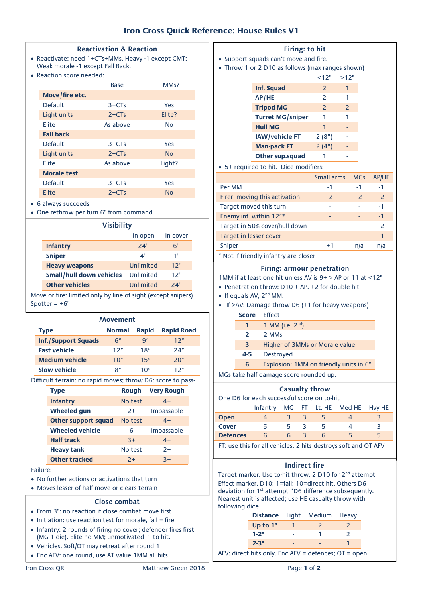# **Iron Cross Quick Reference: House Rules V1**

#### **Reactivation & Reaction**

- Reactivate: need 1+CTs+MMs. Heavy -1 except CMT; Weak morale -1 except Fall Back.
- Reaction score needed:

|                    | <b>Base</b> | $+MMs$ ?       |
|--------------------|-------------|----------------|
| Move/fire etc.     |             |                |
| <b>Default</b>     | $3+CTs$     | Yes            |
| Light units        | $2+CTs$     | Flite?         |
| Flite              | As above    | Nο             |
| <b>Fall back</b>   |             |                |
| Default            | $3+CTs$     | Yes            |
| Light units        | $2+CTs$     | N <sub>O</sub> |
| Flite              | As above    | Light?         |
| <b>Morale test</b> |             |                |
| <b>Default</b>     | $3+CTs$     | Yes            |
| Elite              | $2+CTs$     | <b>No</b>      |

- 6 always succeeds
- One rethrow per turn 6" from command

| <b>Visibility</b>               |                  |          |  |  |  |
|---------------------------------|------------------|----------|--|--|--|
|                                 | In open          | In cover |  |  |  |
| <b>Infantry</b>                 | 24"              | 6"       |  |  |  |
| <b>Sniper</b>                   | 4"               | 1"       |  |  |  |
| <b>Heavy weapons</b>            | 12"<br>Unlimited |          |  |  |  |
| <b>Small/hull down vehicles</b> | 12"<br>Unlimited |          |  |  |  |
| <b>Other vehicles</b>           | Unlimited        | 24"      |  |  |  |
|                                 |                  |          |  |  |  |

Move or fire: limited only by line of sight (except snipers) Spotter  $= +6"$ 

| Movement                   |                                                    |     |     |  |  |  |  |  |  |
|----------------------------|----------------------------------------------------|-----|-----|--|--|--|--|--|--|
| Type                       | <b>Rapid Road</b><br><b>Rapid</b><br><b>Normal</b> |     |     |  |  |  |  |  |  |
| <b>Inf./Support Squads</b> | 6"                                                 | Q'' | 12" |  |  |  |  |  |  |
| <b>Fast vehicle</b>        | 12"                                                | 18" | 24" |  |  |  |  |  |  |
| <b>Medium vehicle</b>      | 10"                                                | 15" | 20" |  |  |  |  |  |  |
| <b>Slow vehicle</b>        | 8″                                                 | 10" | 12" |  |  |  |  |  |  |

Difficult terrain: no rapid moves; throw D6: score to pass-

| <b>Type</b>                | <b>Rough</b> | <b>Very Rough</b> |
|----------------------------|--------------|-------------------|
| <b>Infantry</b>            | No test      | $4+$              |
| <b>Wheeled qun</b>         | $2+$         | Impassable        |
| <b>Other support squad</b> | No test      | $4+$              |
| <b>Wheeled vehicle</b>     | 6            | Impassable        |
| <b>Half track</b>          | $3+$         | $4+$              |
| <b>Heavy tank</b>          | No test      | $2+$              |
| <b>Other tracked</b>       | $2+$         | $3+$              |

Failure:

- No further actions or activations that turn
- Moves lesser of half move or clears terrain

#### **Close combat**

- From 3": no reaction if close combat move first
- $\bullet$  Initiation: use reaction test for morale, fail = fire
- Infantry: 2 rounds of firing no cover; defender fires first (MG 1 die). Elite no MM; unmotivated -1 to hit.
- Vehicles. Soft/OT may retreat after round 1
- Enc AFV: one round, use AT value 1MM all hits

## **Firing: to hit**

- Support squads can't move and fire.
- Throw 1 or 2 D10 as follows (max ranges shown)

|                         | <12"                     | >12"          |
|-------------------------|--------------------------|---------------|
| Inf. Squad              | $\overline{z}$           | 1             |
| AP/HE                   | $\overline{\phantom{0}}$ |               |
| <b>Tripod MG</b>        | $\overline{z}$           | $\mathcal{P}$ |
| <b>Turret MG/sniper</b> | 1                        | 1             |
| <b>Hull MG</b>          | 1                        |               |
| IAW/vehicle FT          | 2(8")                    |               |
| <b>Man-pack FT</b>      | 2(4")                    |               |
| Other sup.squad         |                          |               |

#### 5+ required to hit. Dice modifiers:

|                                       | Small arms | <b>MGs</b> | AP/HE |
|---------------------------------------|------------|------------|-------|
| Per MM                                | - 1        | -1         | $-1$  |
| Firer moving this activation          | $-2$       | $-2$       | $-2$  |
| Target moved this turn                |            |            | $-1$  |
| Enemy inf. within 12"*                |            |            | $-1$  |
| Target in 50% cover/hull down         |            |            | $-2$  |
| Target in lesser cover                |            |            | $-1$  |
| Sniper                                | $+1$       | n/a        | n/a   |
| * Not if friandly infantry are closer |            |            |       |

Not if friendly infantry are closer

### **Firing: armour penetration**

1MM if at least one hit unless AV is  $9+$  > AP or 11 at <12"

- Penetration throw:  $D10 + AP. +2$  for double hit
- $\bullet$  If equals AV,  $2^{nd}$  MM.
- If >AV: Damage throw D6 (+1 for heavy weapons)
	- **Score** Effect
		- **1 1** MM (i.e.  $2^{nd}$ )
		- **2** 2 MMs
		- **3** Higher of 3MMs or Morale value
		- **4-5** Destroyed
		- **6 Explosion: 1MM on friendly units in 6<sup>"</sup>**
- MGs take half damage score rounded up.

# **Casualty throw**

One D6 for each successful score on to-hit

|                 | Infantry |   |              |    | MG FT Lt. HE Med HE Hvy HE |
|-----------------|----------|---|--------------|----|----------------------------|
| <b>Open</b>     |          | 3 | $\mathbf{h}$ |    |                            |
| <b>Cover</b>    | 5        | 5 | h            |    | 3                          |
| <b>Defences</b> | 6        | 6 | h            | 5  | 5.                         |
|                 |          |   |              | __ |                            |

FT: use this for all vehicles. 2 hits destroys soft and OT AFV

# **Indirect fire**

Target marker. Use to-hit throw. 2 D10 for 2<sup>nd</sup> attempt Effect marker. D10: 1=fail; 10=direct hit. Others D6 deviation for 1<sup>st</sup> attempt "D6 difference subsequently. Nearest unit is affected; use HE casualty throw with following dice

| <b>Distance</b> Light Medium Heavy |   |                             |  |
|------------------------------------|---|-----------------------------|--|
| Up to 1"                           |   | $\mathcal{L}_{\mathcal{L}}$ |  |
| $1 - 2"$                           |   |                             |  |
| $2 - 3"$                           |   |                             |  |
|                                    | . |                             |  |

AFV: direct hits only. Enc AFV = defences; OT = open